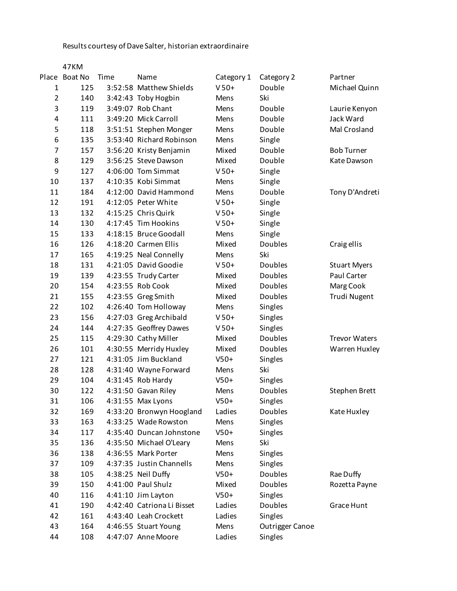Results courtesy of Dave Salter, historian extraordinaire

|                | 47KM          |      |                            |            |                 |                      |
|----------------|---------------|------|----------------------------|------------|-----------------|----------------------|
|                | Place Boat No | Time | Name                       | Category 1 | Category 2      | Partner              |
| 1              | 125           |      | 3:52:58 Matthew Shields    | $V$ 50+    | Double          | Michael Quinn        |
| $\overline{2}$ | 140           |      | 3:42:43 Toby Hogbin        | Mens       | Ski             |                      |
| 3              | 119           |      | 3:49:07 Rob Chant          | Mens       | Double          | Laurie Kenyon        |
| 4              | 111           |      | 3:49:20 Mick Carroll       | Mens       | Double          | Jack Ward            |
| 5              | 118           |      | 3:51:51 Stephen Monger     | Mens       | Double          | Mal Crosland         |
| 6              | 135           |      | 3:53:40 Richard Robinson   | Mens       | Single          |                      |
| $\overline{7}$ | 157           |      | 3:56:20 Kristy Benjamin    | Mixed      | Double          | <b>Bob Turner</b>    |
| 8              | 129           |      | 3:56:25 Steve Dawson       | Mixed      | Double          | Kate Dawson          |
| 9              | 127           |      | 4:06:00 Tom Simmat         | $V$ 50+    | Single          |                      |
| 10             | 137           |      | 4:10:35 Kobi Simmat        | Mens       | Single          |                      |
| 11             | 184           |      | 4:12:00 David Hammond      | Mens       | Double          | Tony D'Andreti       |
| 12             | 191           |      | 4:12:05 Peter White        | $V$ 50+    | Single          |                      |
| 13             | 132           |      | 4:15:25 Chris Quirk        | $V$ 50+    | Single          |                      |
| 14             | 130           |      | 4:17:45 Tim Hookins        | $V$ 50+    | Single          |                      |
| 15             | 133           |      | 4:18:15 Bruce Goodall      | Mens       | Single          |                      |
| 16             | 126           |      | 4:18:20 Carmen Ellis       | Mixed      | Doubles         | Craig ellis          |
| 17             | 165           |      | 4:19:25 Neal Connelly      | Mens       | Ski             |                      |
| 18             | 131           |      | 4:21:05 David Goodie       | $V$ 50+    | Doubles         | <b>Stuart Myers</b>  |
| 19             | 139           |      | 4:23:55 Trudy Carter       | Mixed      | <b>Doubles</b>  | Paul Carter          |
| 20             | 154           |      | 4:23:55 Rob Cook           | Mixed      | Doubles         | Marg Cook            |
| 21             | 155           |      | 4:23:55 Greg Smith         | Mixed      | Doubles         | Trudi Nugent         |
| 22             | 102           |      | 4:26:40 Tom Holloway       | Mens       | Singles         |                      |
| 23             | 156           |      | 4:27:03 Greg Archibald     | $V$ 50+    | Singles         |                      |
| 24             | 144           |      | 4:27:35 Geoffrey Dawes     | $V$ 50+    | Singles         |                      |
| 25             | 115           |      | 4:29:30 Cathy Miller       | Mixed      | Doubles         | <b>Trevor Waters</b> |
| 26             | 101           |      | 4:30:55 Merridy Huxley     | Mixed      | Doubles         | Warren Huxley        |
| 27             | 121           |      | 4:31:05 Jim Buckland       | $V50+$     | Singles         |                      |
| 28             | 128           |      | 4:31:40 Wayne Forward      | Mens       | Ski             |                      |
| 29             | 104           |      | 4:31:45 Rob Hardy          | $V50+$     | Singles         |                      |
| 30             | 122           |      | 4:31:50 Gavan Riley        | Mens       | <b>Doubles</b>  | Stephen Brett        |
| 31             | 106           |      | 4:31:55 Max Lyons          | $V50+$     | Singles         |                      |
| 32             | 169           |      | 4:33:20 Bronwyn Hoogland   | Ladies     | <b>Doubles</b>  | Kate Huxley          |
| 33             | 163           |      | 4:33:25 Wade Rowston       | Mens       | Singles         |                      |
| 34             | 117           |      | 4:35:40 Duncan Johnstone   | $V50+$     | Singles         |                      |
| 35             | 136           |      | 4:35:50 Michael O'Leary    | Mens       | Ski             |                      |
| 36             | 138           |      | 4:36:55 Mark Porter        | Mens       | Singles         |                      |
| 37             | 109           |      | 4:37:35 Justin Channells   | Mens       | Singles         |                      |
| 38             | 105           |      | 4:38:25 Neil Duffy         | $V50+$     | <b>Doubles</b>  | Rae Duffy            |
| 39             | 150           |      | 4:41:00 Paul Shulz         | Mixed      | <b>Doubles</b>  | Rozetta Payne        |
| 40             | 116           |      | 4:41:10 Jim Layton         | $V50+$     | Singles         |                      |
| 41             | 190           |      | 4:42:40 Catriona Li Bisset | Ladies     | <b>Doubles</b>  | Grace Hunt           |
| 42             | 161           |      | 4:43:40 Leah Crockett      | Ladies     | Singles         |                      |
| 43             | 164           |      | 4:46:55 Stuart Young       | Mens       | Outrigger Canoe |                      |
| 44             | 108           |      | 4:47:07 Anne Moore         | Ladies     | Singles         |                      |
|                |               |      |                            |            |                 |                      |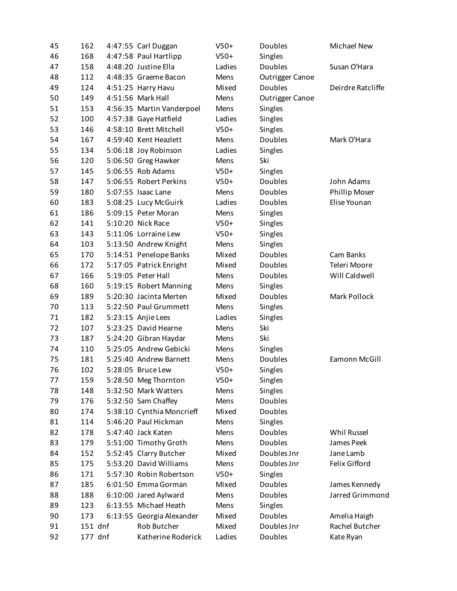| 45 | 162     | $V50+$<br>4:47:55 Carl Duggan |        | Doubles                | Michael New       |
|----|---------|-------------------------------|--------|------------------------|-------------------|
| 46 | 168     | 4:47:58 Paul Hartlipp         | $V50+$ | Singles                |                   |
| 47 | 158     | 4:48:20 Justine Ella          | Ladies | Doubles                | Susan O'Hara      |
| 48 | 112     | 4:48:35 Graeme Bacon          | Mens   | <b>Outrigger Canoe</b> |                   |
| 49 | 124     | 4:51:25 Harry Havu            | Mixed  | Doubles                | Deirdre Ratcliffe |
| 50 | 149     | 4:51:56 Mark Hall             | Mens   | <b>Outrigger Canoe</b> |                   |
| 51 | 153     | 4:56:35 Martin Vanderpoel     | Mens   | Singles                |                   |
| 52 | 100     | 4:57:38 Gaye Hatfield         | Ladies | Singles                |                   |
| 53 | 146     | 4:58:10 Brett Mitchell        | $V50+$ | Singles                |                   |
| 54 | 167     | 4:59:40 Kent Heazlett         | Mens   | Doubles                | Mark O'Hara       |
| 55 | 134     | 5:06:18 Joy Robinson          | Ladies | Singles                |                   |
| 56 | 120     | 5:06:50 Greg Hawker           | Mens   | Ski                    |                   |
| 57 | 145     | 5:06:55 Rob Adams             | $V50+$ | Singles                |                   |
| 58 | 147     | 5:06:55 Robert Perkins        | $V50+$ | Doubles                | John Adams        |
| 59 | 180     | 5:07:55 Isaac Lane            | Mens   | Doubles                | Phillip Moser     |
| 60 | 183     | 5:08:25 Lucy McGuirk          | Ladies | Doubles                | Elise Younan      |
| 61 | 186     | 5:09:15 Peter Moran           | Mens   | Singles                |                   |
| 62 | 141     | 5:10:20 Nick Race             | $V50+$ | Singles                |                   |
| 63 | 143     | 5:11:06 Lorraine Lew          |        |                        |                   |
|    |         |                               | $V50+$ | Singles                |                   |
| 64 | 103     | 5:13:50 Andrew Knight         | Mens   | Singles                |                   |
| 65 | 170     | 5:14:51 Penelope Banks        | Mixed  | <b>Doubles</b>         | Cam Banks         |
| 66 | 172     | 5:17:05 Patrick Enright       | Mixed  | Doubles                | Teleri Moore      |
| 67 | 166     | 5:19:05 Peter Hall            | Mens   | Doubles                | Will Caldwell     |
| 68 | 160     | 5:19:15 Robert Manning        | Mens   | Singles                |                   |
| 69 | 189     | 5:20:30 Jacinta Merten        | Mixed  | Doubles                | Mark Pollock      |
| 70 | 113     | 5:22:50 Paul Grummett         | Mens   | Singles                |                   |
| 71 | 182     | 5:23:15 Anjie Lees            | Ladies | Singles                |                   |
| 72 | 107     | 5:23:25 David Hearne          | Mens   | Ski                    |                   |
| 73 | 187     | 5:24:20 Gibran Haydar         | Mens   | Ski                    |                   |
| 74 | 110     | 5:25:05 Andrew Gebicki        | Mens   | Singles                |                   |
| 75 | 181     | 5:25:40 Andrew Barnett        | Mens   | Doubles                | Eamonn McGill     |
| 76 | 102     | 5:28:05 Bruce Lew             | $V50+$ | Singles                |                   |
| 77 | 159     | 5:28:50 Meg Thornton          | $V50+$ | Singles                |                   |
| 78 | 148     | 5:32:50 Mark Watters          | Mens   | Singles                |                   |
| 79 | 176     | 5:32:50 Sam Chaffey           | Mens   | Doubles                |                   |
| 80 | 174     | 5:38:10 Cynthia Moncrieff     | Mixed  | Doubles                |                   |
| 81 | 114     | 5:46:20 Paul Hickman          | Mens   | Singles                |                   |
| 82 | 178     | 5:47:40 Jack Katen            | Mens   | Doubles                | Whil Russel       |
| 83 | 179     | 5:51:00 Timothy Groth         | Mens   | Doubles                | James Peek        |
| 84 | 152     | 5:52:45 Clarry Butcher        | Mixed  | Doubles Jnr            | Jane Lamb         |
| 85 | 175     | 5:53:20 David Williams        | Mens   | Doubles Jnr            | Felix Gifford     |
| 86 | 171     | 5:57:30 Robin Robertson       | $V50+$ | Singles                |                   |
| 87 | 185     | 6:01:50 Emma Gorman           | Mixed  | Doubles                | James Kennedy     |
| 88 | 188     | 6:10:00 Jared Aylward         | Mens   | Doubles                | Jarred Grimmond   |
| 89 | 123     | 6:13:55 Michael Heath         | Mens   | Singles                |                   |
| 90 | 173     | 6:13:55 Georgia Alexander     | Mixed  | Doubles                | Amelia Haigh      |
| 91 | 151 dnf | Rob Butcher                   | Mixed  | Doubles Jnr            | Rachel Butcher    |
| 92 | 177 dnf | Katherine Roderick            | Ladies | Doubles                | Kate Ryan         |
|    |         |                               |        |                        |                   |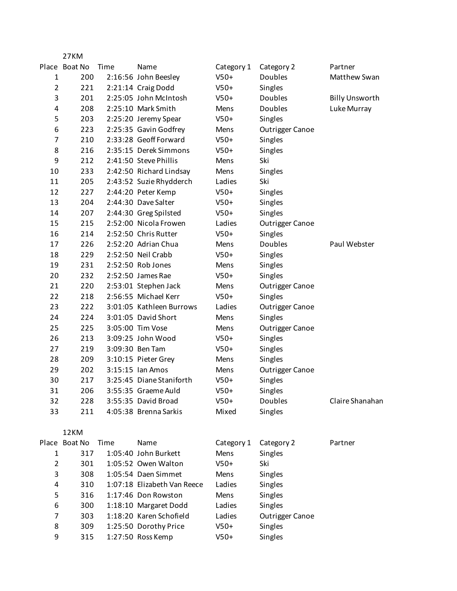|                | 27KM          |      |                             |            |                        |                       |
|----------------|---------------|------|-----------------------------|------------|------------------------|-----------------------|
|                | Place Boat No | Time | Name                        | Category 1 | Category 2             | Partner               |
| 1              | 200           |      | 2:16:56 John Beesley        | $V50+$     | Doubles                | Matthew Swan          |
| $\overline{2}$ | 221           |      | 2:21:14 Craig Dodd          | $V50+$     | Singles                |                       |
| 3              | 201           |      | 2:25:05 John McIntosh       | $V50+$     | <b>Doubles</b>         | <b>Billy Unsworth</b> |
| 4              | 208           |      | 2:25:10 Mark Smith          | Mens       | Doubles                | Luke Murray           |
| 5              | 203           |      | 2:25:20 Jeremy Spear        | $V50+$     | Singles                |                       |
| 6              | 223           |      | 2:25:35 Gavin Godfrey       | Mens       | <b>Outrigger Canoe</b> |                       |
| $\overline{7}$ | 210           |      | 2:33:28 Geoff Forward       | $V50+$     | Singles                |                       |
| 8              | 216           |      | 2:35:15 Derek Simmons       | $V50+$     | Singles                |                       |
| 9              | 212           |      | 2:41:50 Steve Phillis       | Mens       | Ski                    |                       |
| 10             | 233           |      | 2:42:50 Richard Lindsay     | Mens       | Singles                |                       |
| 11             | 205           |      | 2:43:52 Suzie Rhydderch     | Ladies     | Ski                    |                       |
| 12             | 227           |      | 2:44:20 Peter Kemp          | $V50+$     | Singles                |                       |
| 13             | 204           |      | 2:44:30 Dave Salter         | $V50+$     | Singles                |                       |
| 14             | 207           |      | 2:44:30 Greg Spilsted       | $V50+$     | Singles                |                       |
| 15             | 215           |      | 2:52:00 Nicola Frowen       | Ladies     | <b>Outrigger Canoe</b> |                       |
| 16             | 214           |      | 2:52:50 Chris Rutter        | $V50+$     | Singles                |                       |
| 17             | 226           |      | 2:52:20 Adrian Chua         | Mens       | <b>Doubles</b>         | Paul Webster          |
| 18             | 229           |      | 2:52:50 Neil Crabb          | $V50+$     | Singles                |                       |
| 19             | 231           |      | 2:52:50 Rob Jones           | Mens       | Singles                |                       |
| 20             | 232           |      | 2:52:50 James Rae           | $V50+$     | Singles                |                       |
| 21             | 220           |      | 2:53:01 Stephen Jack        | Mens       | <b>Outrigger Canoe</b> |                       |
| 22             | 218           |      | 2:56:55 Michael Kerr        | $V50+$     | Singles                |                       |
| 23             | 222           |      | 3:01:05 Kathleen Burrows    | Ladies     | <b>Outrigger Canoe</b> |                       |
| 24             | 224           |      | 3:01:05 David Short         | Mens       | Singles                |                       |
| 25             | 225           |      | 3:05:00 Tim Vose            | Mens       | <b>Outrigger Canoe</b> |                       |
| 26             | 213           |      | 3:09:25 John Wood           | $V50+$     | Singles                |                       |
| 27             | 219           |      | 3:09:30 Ben Tam             | $V50+$     | Singles                |                       |
| 28             | 209           |      | 3:10:15 Pieter Grey         | Mens       | Singles                |                       |
| 29             | 202           |      | 3:15:15 Ian Amos            | Mens       | <b>Outrigger Canoe</b> |                       |
| 30             | 217           |      | 3:25:45 Diane Staniforth    | $V50+$     | Singles                |                       |
| 31             | 206           |      | 3:55:35 Graeme Auld         | $V50+$     | Singles                |                       |
| 32             | 228           |      | 3:55:35 David Broad         | $V50+$     | <b>Doubles</b>         | Claire Shanahan       |
| 33             | 211           |      | 4:05:38 Brenna Sarkis       | Mixed      | Singles                |                       |
|                |               |      |                             |            |                        |                       |
|                | 12KM          |      |                             |            |                        |                       |
|                | Place Boat No | Time | Name                        | Category 1 | Category 2             | Partner               |
| 1              | 317           |      | 1:05:40 John Burkett        | Mens       | Singles                |                       |
| $\overline{2}$ | 301           |      | 1:05:52 Owen Walton         | $V50+$     | Ski                    |                       |
| 3              | 308           |      | 1:05:54 Daen Simmet         | Mens       | Singles                |                       |
| 4              | 310           |      | 1:07:18 Elizabeth Van Reece | Ladies     | Singles                |                       |
| 5              | 316           |      | 1:17:46 Don Rowston         | Mens       | Singles                |                       |
| 6              | 300           |      | 1:18:10 Margaret Dodd       | Ladies     | Singles                |                       |
| 7              | 303           |      | 1:18:20 Karen Schofield     | Ladies     | <b>Outrigger Canoe</b> |                       |
| 8              | 309           |      | 1:25:50 Dorothy Price       | $V50+$     | Singles                |                       |
| 9              | 315           |      | 1:27:50 Ross Kemp           | $V50+$     | Singles                |                       |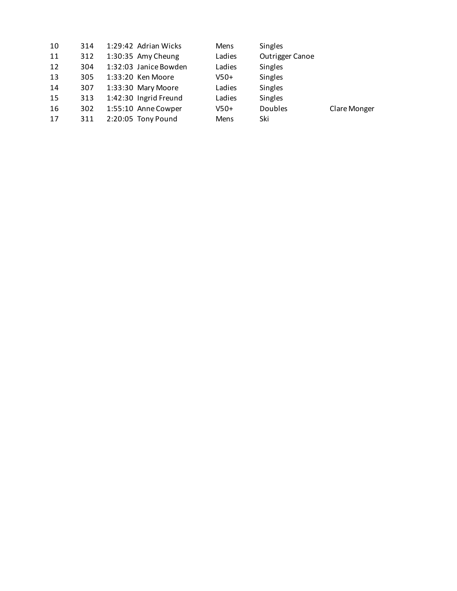| 10 | 314 | 1:29:42 Adrian Wicks  | <b>Mens</b> | Singles         |              |
|----|-----|-----------------------|-------------|-----------------|--------------|
| 11 | 312 | 1:30:35 Amy Cheung    | Ladies      | Outrigger Canoe |              |
| 12 | 304 | 1:32:03 Janice Bowden | Ladies      | Singles         |              |
| 13 | 305 | $1:33:20$ Ken Moore   | $V50+$      | Singles         |              |
| 14 | 307 | 1:33:30 Mary Moore    | Ladies      | Singles         |              |
| 15 | 313 | 1:42:30 Ingrid Freund | Ladies      | Singles         |              |
| 16 | 302 | 1:55:10 Anne Cowper   | $V50+$      | <b>Doubles</b>  | Clare Monger |
| 17 | 311 | 2:20:05 Tony Pound    | <b>Mens</b> | Ski             |              |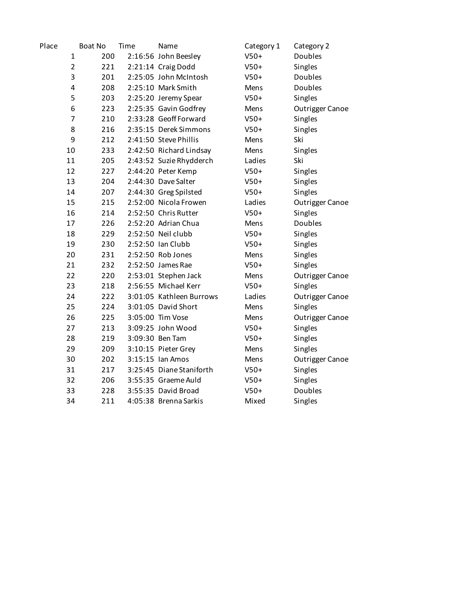| Place |                | Boat No | Time | Name                     | Category 1 | Category 2             |
|-------|----------------|---------|------|--------------------------|------------|------------------------|
|       | $\mathbf{1}$   | 200     |      | 2:16:56 John Beesley     | $V50+$     | Doubles                |
|       | $\overline{2}$ | 221     |      | 2:21:14 Craig Dodd       | $V50+$     | Singles                |
|       | 3              | 201     |      | 2:25:05 John McIntosh    | $V50+$     | Doubles                |
|       | 4              | 208     |      | 2:25:10 Mark Smith       | Mens       | Doubles                |
|       | 5              | 203     |      | 2:25:20 Jeremy Spear     | $V50+$     | Singles                |
|       | 6              | 223     |      | 2:25:35 Gavin Godfrey    | Mens       | <b>Outrigger Canoe</b> |
|       | 7              | 210     |      | 2:33:28 Geoff Forward    | $V50+$     | Singles                |
|       | 8              | 216     |      | 2:35:15 Derek Simmons    | $V50+$     | Singles                |
|       | 9              | 212     |      | 2:41:50 Steve Phillis    | Mens       | Ski                    |
|       | 10             | 233     |      | 2:42:50 Richard Lindsay  | Mens       | Singles                |
|       | 11             | 205     |      | 2:43:52 Suzie Rhydderch  | Ladies     | Ski                    |
|       | 12             | 227     |      | 2:44:20 Peter Kemp       | $V50+$     | Singles                |
|       | 13             | 204     |      | 2:44:30 Dave Salter      | $V50+$     | Singles                |
|       | 14             | 207     |      | 2:44:30 Greg Spilsted    | $V50+$     | Singles                |
|       | 15             | 215     |      | 2:52:00 Nicola Frowen    | Ladies     | <b>Outrigger Canoe</b> |
|       | 16             | 214     |      | 2:52:50 Chris Rutter     | $V50+$     | Singles                |
|       | 17             | 226     |      | 2:52:20 Adrian Chua      | Mens       | <b>Doubles</b>         |
|       | 18             | 229     |      | 2:52:50 Neil clubb       | $V50+$     | Singles                |
|       | 19             | 230     |      | 2:52:50 Ian Clubb        | $V50+$     | Singles                |
|       | 20             | 231     |      | 2:52:50 Rob Jones        | Mens       | Singles                |
|       | 21             | 232     |      | 2:52:50 James Rae        | $V50+$     | Singles                |
|       | 22             | 220     |      | 2:53:01 Stephen Jack     | Mens       | Outrigger Canoe        |
|       | 23             | 218     |      | 2:56:55 Michael Kerr     | $V50+$     | Singles                |
|       | 24             | 222     |      | 3:01:05 Kathleen Burrows | Ladies     | Outrigger Canoe        |
|       | 25             | 224     |      | 3:01:05 David Short      | Mens       | Singles                |
|       | 26             | 225     |      | 3:05:00 Tim Vose         | Mens       | Outrigger Canoe        |
|       | 27             | 213     |      | 3:09:25 John Wood        | $V50+$     | Singles                |
|       | 28             | 219     |      | 3:09:30 Ben Tam          | $V50+$     | Singles                |
|       | 29             | 209     |      | 3:10:15 Pieter Grey      | Mens       | Singles                |
|       | 30             | 202     |      | 3:15:15 Ian Amos         | Mens       | Outrigger Canoe        |
|       | 31             | 217     |      | 3:25:45 Diane Staniforth | $V50+$     | Singles                |
|       | 32             | 206     |      | 3:55:35 Graeme Auld      | $V50+$     | Singles                |
|       | 33             | 228     |      | 3:55:35 David Broad      | $V50+$     | Doubles                |
|       | 34             | 211     |      | 4:05:38 Brenna Sarkis    | Mixed      | Singles                |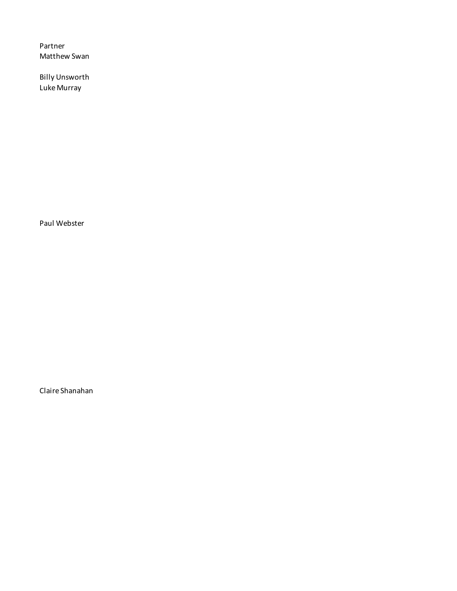Partner Matthew Swan

Billy Unsworth Luke Murray

Paul Webster

Claire Shanahan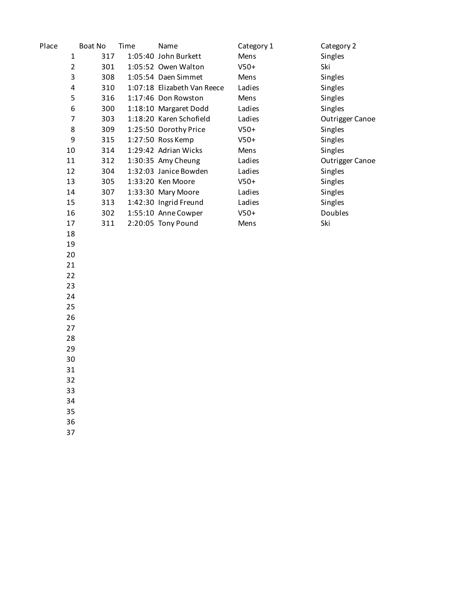| Place          | Boat No | Time | Name                        | Category 1 | Category 2             |
|----------------|---------|------|-----------------------------|------------|------------------------|
| $\mathbf{1}$   | 317     |      | 1:05:40 John Burkett        | Mens       | Singles                |
| $\overline{2}$ | 301     |      | 1:05:52 Owen Walton         | $V50+$     | Ski                    |
| 3              | 308     |      | 1:05:54 Daen Simmet         | Mens       | Singles                |
| 4              | 310     |      | 1:07:18 Elizabeth Van Reece | Ladies     | Singles                |
| 5              | 316     |      | 1:17:46 Don Rowston         | Mens       | Singles                |
| 6              | 300     |      | 1:18:10 Margaret Dodd       | Ladies     | Singles                |
| $\overline{7}$ | 303     |      | 1:18:20 Karen Schofield     | Ladies     | <b>Outrigger Canoe</b> |
| 8              | 309     |      | 1:25:50 Dorothy Price       | $V50+$     | Singles                |
| 9              | 315     |      | 1:27:50 Ross Kemp           | $V50+$     | Singles                |
| 10             | 314     |      | 1:29:42 Adrian Wicks        | Mens       | Singles                |
| 11             | 312     |      | 1:30:35 Amy Cheung          | Ladies     | Outrigger Canoe        |
| 12             | 304     |      | 1:32:03 Janice Bowden       | Ladies     | Singles                |
| 13             | 305     |      | 1:33:20 Ken Moore           | $V50+$     | Singles                |
| 14             | 307     |      | 1:33:30 Mary Moore          | Ladies     | Singles                |
| 15             | 313     |      | 1:42:30 Ingrid Freund       | Ladies     | Singles                |
| 16             | 302     |      | 1:55:10 Anne Cowper         | $V50+$     | Doubles                |
| 17             | 311     |      | 2:20:05 Tony Pound          | Mens       | Ski                    |
| 18             |         |      |                             |            |                        |
| 19             |         |      |                             |            |                        |
| 20             |         |      |                             |            |                        |
| 21             |         |      |                             |            |                        |
| 22             |         |      |                             |            |                        |
| 23             |         |      |                             |            |                        |
| 24             |         |      |                             |            |                        |
| 25             |         |      |                             |            |                        |
| 26             |         |      |                             |            |                        |
| 27             |         |      |                             |            |                        |
| 28             |         |      |                             |            |                        |
| 29             |         |      |                             |            |                        |
| 30             |         |      |                             |            |                        |
| 31             |         |      |                             |            |                        |
| 32             |         |      |                             |            |                        |
| 33             |         |      |                             |            |                        |
| 34             |         |      |                             |            |                        |
| 35             |         |      |                             |            |                        |
| 36             |         |      |                             |            |                        |
| 37             |         |      |                             |            |                        |